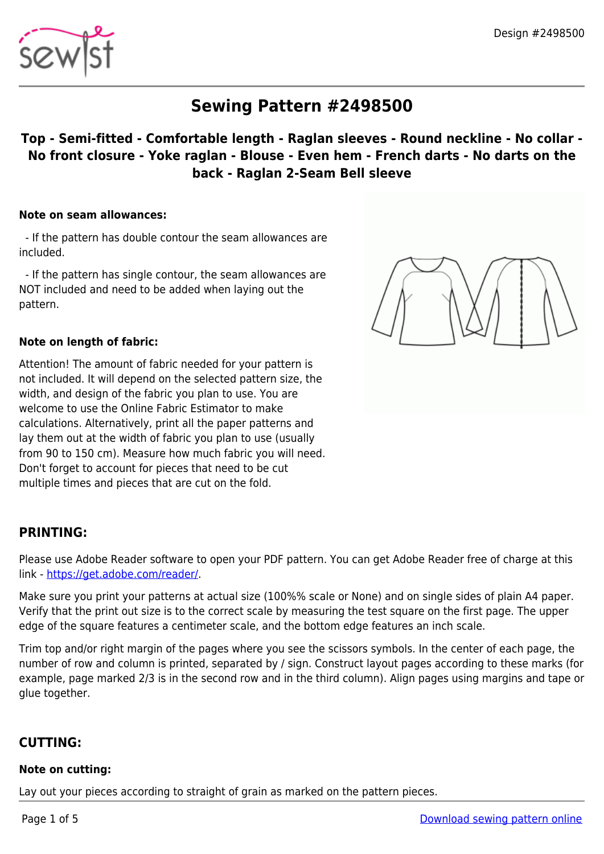

# **Sewing Pattern #2498500**

## **Top - Semi-fitted - Comfortable length - Raglan sleeves - Round neckline - No collar - No front closure - Yoke raglan - Blouse - Even hem - French darts - No darts on the back - Raglan 2-Seam Bell sleeve**

#### **Note on seam allowances:**

 - If the pattern has double contour the seam allowances are included.

 - If the pattern has single contour, the seam allowances are NOT included and need to be added when laying out the pattern.

#### **Note on length of fabric:**

Attention! The amount of fabric needed for your pattern is not included. It will depend on the selected pattern size, the width, and design of the fabric you plan to use. You are welcome to use the Online Fabric Estimator to make calculations. Alternatively, print all the paper patterns and lay them out at the width of fabric you plan to use (usually from 90 to 150 cm). Measure how much fabric you will need. Don't forget to account for pieces that need to be cut multiple times and pieces that are cut on the fold.



## **PRINTING:**

Please use Adobe Reader software to open your PDF pattern. You can get Adobe Reader free of charge at this link -<https://get.adobe.com/reader/>.

Make sure you print your patterns at actual size (100%% scale or None) and on single sides of plain A4 paper. Verify that the print out size is to the correct scale by measuring the test square on the first page. The upper edge of the square features a centimeter scale, and the bottom edge features an inch scale.

Trim top and/or right margin of the pages where you see the scissors symbols. In the center of each page, the number of row and column is printed, separated by / sign. Construct layout pages according to these marks (for example, page marked 2/3 is in the second row and in the third column). Align pages using margins and tape or glue together.

## **CUTTING:**

#### **Note on cutting:**

Lay out your pieces according to straight of grain as marked on the pattern pieces.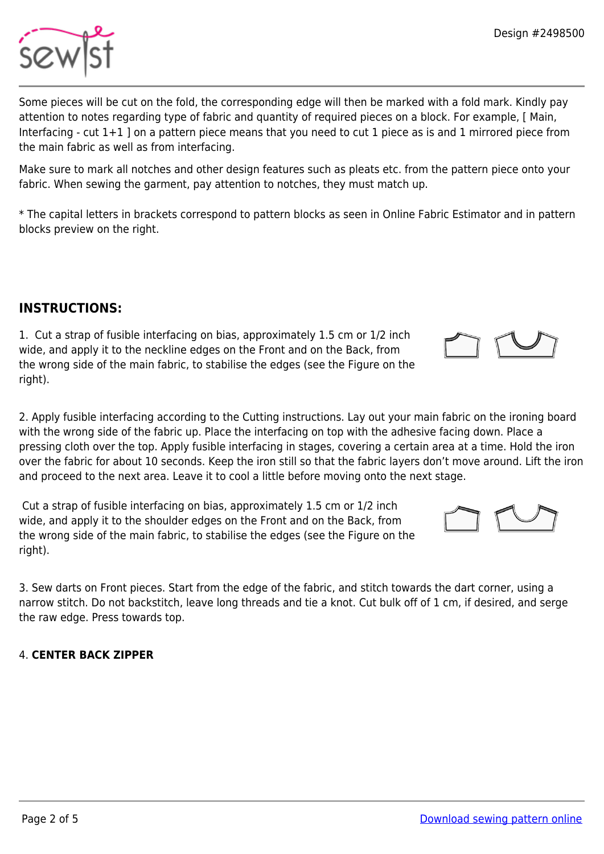Some pieces will be cut on the fold, the corresponding edge will then be marked with a fold mark. Kindly pay attention to notes regarding type of fabric and quantity of required pieces on a block. For example, [ Main, Interfacing - cut 1+1 ] on a pattern piece means that you need to cut 1 piece as is and 1 mirrored piece from the main fabric as well as from interfacing.

Make sure to mark all notches and other design features such as pleats etc. from the pattern piece onto your fabric. When sewing the garment, pay attention to notches, they must match up.

\* The capital letters in brackets correspond to pattern blocks as seen in Online Fabric Estimator and in pattern blocks preview on the right.

# **INSTRUCTIONS:**

1. Cut a strap of fusible interfacing on bias, approximately 1.5 cm or 1/2 inch wide, and apply it to the neckline edges on the Front and on the Back, from the wrong side of the main fabric, to stabilise the edges (see the Figure on the right).

2. Apply fusible interfacing according to the Cutting instructions. Lay out your main fabric on the ironing board with the wrong side of the fabric up. Place the interfacing on top with the adhesive facing down. Place a pressing cloth over the top. Apply fusible interfacing in stages, covering a certain area at a time. Hold the iron over the fabric for about 10 seconds. Keep the iron still so that the fabric layers don't move around. Lift the iron and proceed to the next area. Leave it to cool a little before moving onto the next stage.

 Cut a strap of fusible interfacing on bias, approximately 1.5 cm or 1/2 inch wide, and apply it to the shoulder edges on the Front and on the Back, from the wrong side of the main fabric, to stabilise the edges (see the Figure on the right).

3. Sew darts on Front pieces. Start from the edge of the fabric, and stitch towards the dart corner, using a narrow stitch. Do not backstitch, leave long threads and tie a knot. Cut bulk off of 1 cm, if desired, and serge the raw edge. Press towards top.

## 4. **CENTER BACK ZIPPER**







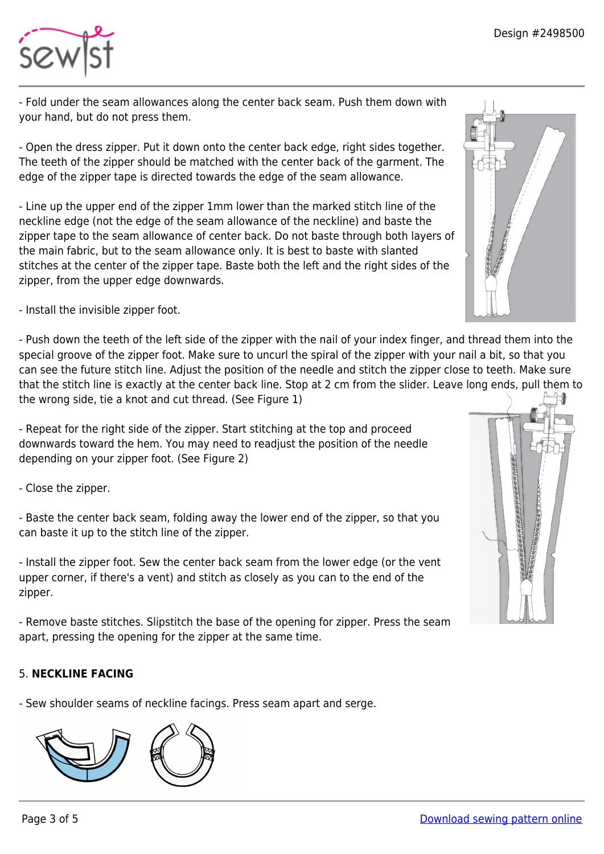

- Fold under the seam allowances along the center back seam. Push them down with your hand, but do not press them.

- Open the dress zipper. Put it down onto the center back edge, right sides together. The teeth of the zipper should be matched with the center back of the garment. The edge of the zipper tape is directed towards the edge of the seam allowance.

- Line up the upper end of the zipper 1mm lower than the marked stitch line of the neckline edge (not the edge of the seam allowance of the neckline) and baste the zipper tape to the seam allowance of center back. Do not baste through both layers of the main fabric, but to the seam allowance only. It is best to baste with slanted stitches at the center of the zipper tape. Baste both the left and the right sides of the zipper, from the upper edge downwards.

- Install the invisible zipper foot.

- Push down the teeth of the left side of the zipper with the nail of your index finger, and thread them into the special groove of the zipper foot. Make sure to uncurl the spiral of the zipper with your nail a bit, so that you can see the future stitch line. Adjust the position of the needle and stitch the zipper close to teeth. Make sure that the stitch line is exactly at the center back line. Stop at 2 cm from the slider. Leave long ends, pull them to the wrong side, tie a knot and cut thread. (See Figure 1)

- Repeat for the right side of the zipper. Start stitching at the top and proceed downwards toward the hem. You may need to readjust the position of the needle depending on your zipper foot. (See Figure 2)

- Close the zipper.

- Baste the center back seam, folding away the lower end of the zipper, so that you can baste it up to the stitch line of the zipper.

- Install the zipper foot. Sew the center back seam from the lower edge (or the vent upper corner, if there's a vent) and stitch as closely as you can to the end of the zipper.

- Remove baste stitches. Slipstitch the base of the opening for zipper. Press the seam apart, pressing the opening for the zipper at the same time.

## 5. **NECKLINE FACING**

- Sew shoulder seams of neckline facings. Press seam apart and serge.





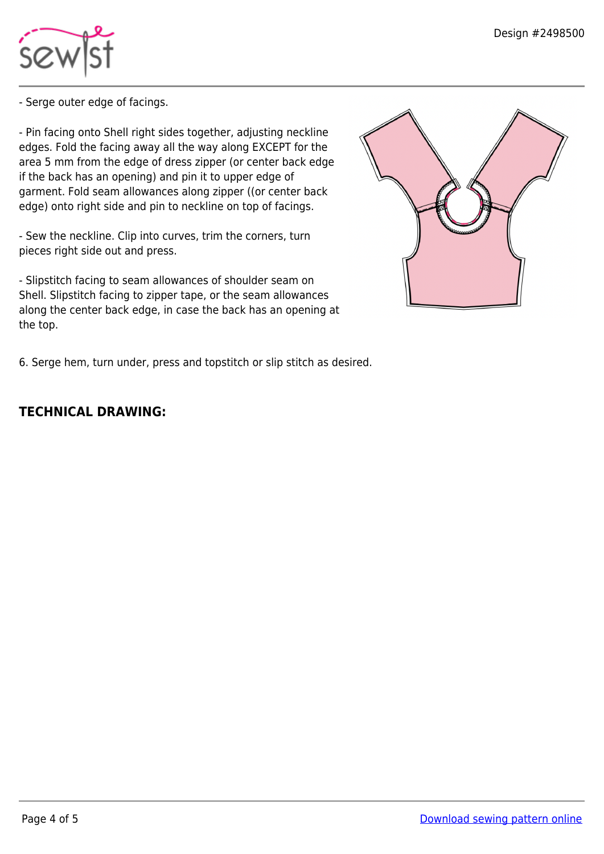

- Serge outer edge of facings.

- Pin facing onto Shell right sides together, adjusting neckline edges. Fold the facing away all the way along EXCEPT for the area 5 mm from the edge of dress zipper (or center back edge if the back has an opening) and pin it to upper edge of garment. Fold seam allowances along zipper ((or center back edge) onto right side and pin to neckline on top of facings.

- Sew the neckline. Clip into curves, trim the corners, turn pieces right side out and press.

- Slipstitch facing to seam allowances of shoulder seam on Shell. Slipstitch facing to zipper tape, or the seam allowances along the center back edge, in case the back has an opening at the top.



6. Serge hem, turn under, press and topstitch or slip stitch as desired.

## **TECHNICAL DRAWING:**